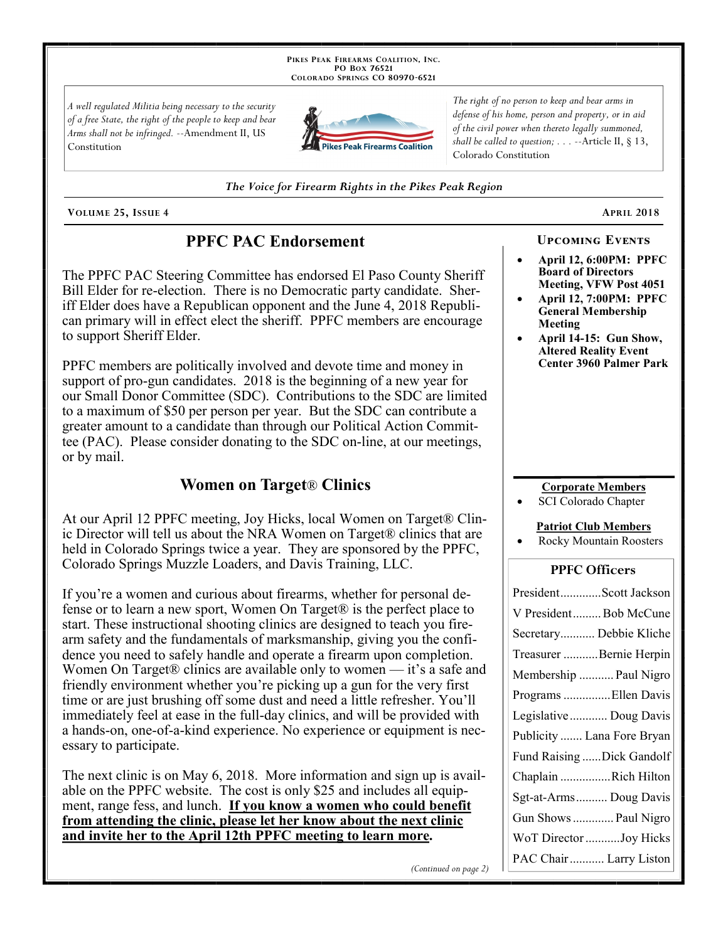PIKES PEAK FIREARMS COALITION, INC. PO Box 76521 COLORADO SPRINGS CO 80970-6521

A well regulated Militia being necessary to the security of a free State, the right of the people to keep and bear Arms shall not be infringed. --Amendment II, US Constitution



The right of no person to keep and bear arms in defense of his home, person and property, or in aid of the civil power when thereto legally summoned, shall be called to question;  $\ldots$  --Article II, § 13, Colorado Constitution

The Voice for Firearm Rights in the Pikes Peak Region

VOLUME 25, ISSUE 4

### **PPFC PAC Endorsement**

The PPFC PAC Steering Committee has endorsed El Paso County Sheriff Bill Elder for re-election. There is no Democratic party candidate. Sheriff Elder does have a Republican opponent and the June 4, 2018 Republican primary will in effect elect the sheriff. PPFC members are encourage to support Sheriff Elder.

PPFC members are politically involved and devote time and money in support of pro-gun candidates. 2018 is the beginning of a new year for our Small Donor Committee (SDC). Contributions to the SDC are limited to a maximum of \$50 per person per year. But the SDC can contribute a greater amount to a candidate than through our Political Action Committee (PAC). Please consider donating to the SDC on-line, at our meetings, or by mail.

### **Women on Target® Clinics**

At our April 12 PPFC meeting, Joy Hicks, local Women on Target® Clinic Director will tell us about the NRA Women on Target® clinics that are held in Colorado Springs twice a year. They are sponsored by the PPFC, Colorado Springs Muzzle Loaders, and Davis Training, LLC.

If you're a women and curious about firearms, whether for personal defense or to learn a new sport, Women On Target® is the perfect place to start. These instructional shooting clinics are designed to teach you firearm safety and the fundamentals of marksmanship, giving you the confidence you need to safely handle and operate a firearm upon completion. Women On Target® clinics are available only to women — it's a safe and friendly environment whether you're picking up a gun for the very first time or are just brushing off some dust and need a little refresher. You'll immediately feel at ease in the full-day clinics, and will be provided with a hands-on, one-of-a-kind experience. No experience or equipment is necessary to participate.

The next clinic is on May 6, 2018. More information and sign up is available on the PPFC website. The cost is only \$25 and includes all equipment, range fess, and lunch. If you know a women who could benefit from attending the clinic, please let her know about the next clinic and invite her to the April 12th PPFC meeting to learn more.

# **APRIL 2018**

**April 12, 6:00PM: PPFC Board of Directors** Meeting, VFW Post 4051

**UPCOMING EVENTS** 

- April 12, 7:00PM: PPFC **General Membership** Meeting
- April 14-15: Gun Show, **Altered Reality Event Center 3960 Palmer Park**

### **Corporate Members**

**SCI Colorado Chapter** 

#### **Patriot Club Members**

Rocky Mountain Roosters

### **PPFC Officers**

| PresidentScott Jackson     |
|----------------------------|
| V PresidentBob McCune      |
| Secretary Debbie Kliche    |
| Treasurer Bernie Herpin    |
| Membership  Paul Nigro     |
| Programs Ellen Davis       |
| Legislative  Doug Davis    |
| Publicity  Lana Fore Bryan |
| Fund Raising Dick Gandolf  |
| Chaplain Rich Hilton       |
| Sgt-at-Arms  Doug Davis    |
| Gun Shows  Paul Nigro      |
| WoT Director Joy Hicks     |
| PAC Chair  Larry Liston    |

(Continued on page 2)